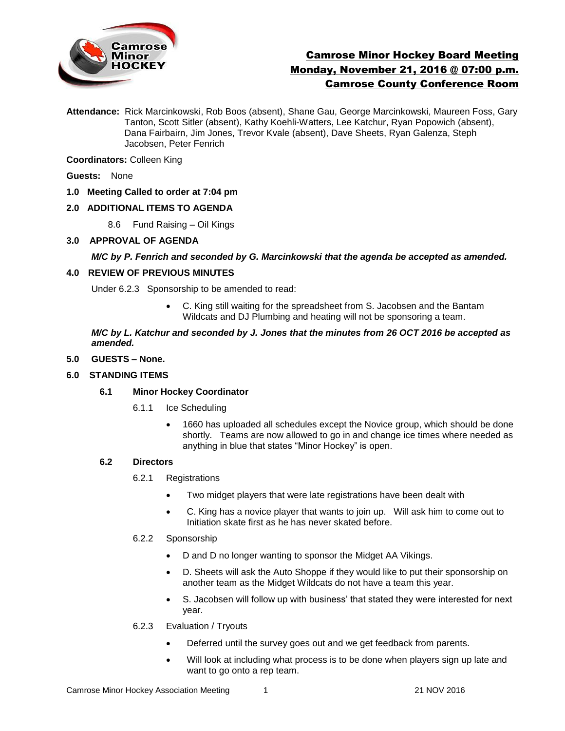

# Camrose Minor Hockey Board Meeting Monday, November 21, 2016 @ 07:00 p.m. Camrose County Conference Room

**Attendance:** Rick Marcinkowski, Rob Boos (absent), Shane Gau, George Marcinkowski, Maureen Foss, Gary Tanton, Scott Sitler (absent), Kathy Koehli-Watters, Lee Katchur, Ryan Popowich (absent), Dana Fairbairn, Jim Jones, Trevor Kvale (absent), Dave Sheets, Ryan Galenza, Steph Jacobsen, Peter Fenrich

**Coordinators:** Colleen King

**Guests:** None

**1.0 Meeting Called to order at 7:04 pm**

# **2.0 ADDITIONAL ITEMS TO AGENDA**

8.6 Fund Raising – Oil Kings

# **3.0 APPROVAL OF AGENDA**

# *M/C by P. Fenrich and seconded by G. Marcinkowski that the agenda be accepted as amended.*

# **4.0 REVIEW OF PREVIOUS MINUTES**

Under 6.2.3 Sponsorship to be amended to read:

 C. King still waiting for the spreadsheet from S. Jacobsen and the Bantam Wildcats and DJ Plumbing and heating will not be sponsoring a team.

*M/C by L. Katchur and seconded by J. Jones that the minutes from 26 OCT 2016 be accepted as amended.*

# **5.0 GUESTS – None.**

# **6.0 STANDING ITEMS**

# **6.1 Minor Hockey Coordinator**

- 6.1.1 Ice Scheduling
	- 1660 has uploaded all schedules except the Novice group, which should be done shortly. Teams are now allowed to go in and change ice times where needed as anything in blue that states "Minor Hockey" is open.

# **6.2 Directors**

- 6.2.1 Registrations
	- Two midget players that were late registrations have been dealt with
	- C. King has a novice player that wants to join up. Will ask him to come out to Initiation skate first as he has never skated before.

# 6.2.2 Sponsorship

- D and D no longer wanting to sponsor the Midget AA Vikings.
- D. Sheets will ask the Auto Shoppe if they would like to put their sponsorship on another team as the Midget Wildcats do not have a team this year.
- S. Jacobsen will follow up with business' that stated they were interested for next year.
- 6.2.3 Evaluation / Tryouts
	- Deferred until the survey goes out and we get feedback from parents.
	- Will look at including what process is to be done when players sign up late and want to go onto a rep team.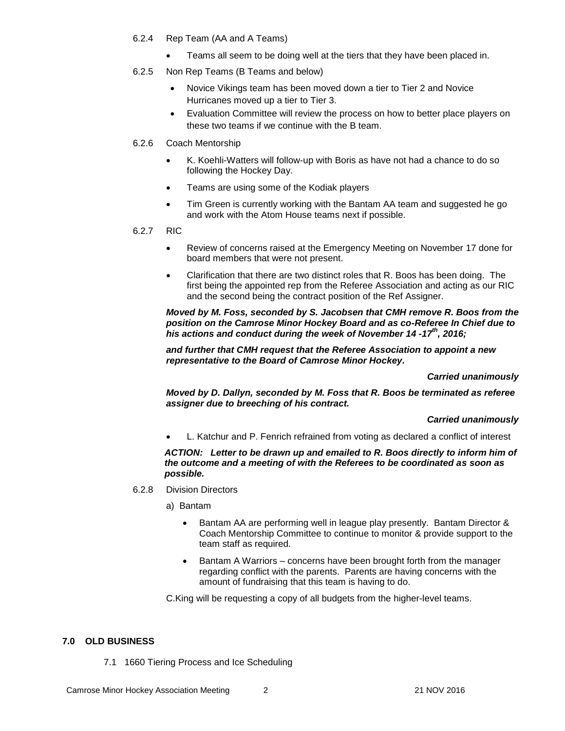- 6.2.4 Rep Team (AA and A Teams)
	- Teams all seem to be doing well at the tiers that they have been placed in.
- 6.2.5 Non Rep Teams (B Teams and below)
	- Novice Vikings team has been moved down a tier to Tier 2 and Novice Hurricanes moved up a tier to Tier 3.
	- Evaluation Committee will review the process on how to better place players on these two teams if we continue with the B team.
- 6.2.6 Coach Mentorship
	- K. Koehli-Watters will follow-up with Boris as have not had a chance to do so following the Hockey Day.
	- Teams are using some of the Kodiak players
	- Tim Green is currently working with the Bantam AA team and suggested he go and work with the Atom House teams next if possible.
- 6.2.7 RIC
	- Review of concerns raised at the Emergency Meeting on November 17 done for board members that were not present.
	- Clarification that there are two distinct roles that R. Boos has been doing. The first being the appointed rep from the Referee Association and acting as our RIC and the second being the contract position of the Ref Assigner.

*Moved by M. Foss, seconded by S. Jacobsen that CMH remove R. Boos from the position on the Camrose Minor Hockey Board and as co-Referee In Chief due to his actions and conduct during the week of November 14 -17th, 2016;*

*and further that CMH request that the Referee Association to appoint a new representative to the Board of Camrose Minor Hockey.*

*Carried unanimously*

*Moved by D. Dallyn, seconded by M. Foss that R. Boos be terminated as referee assigner due to breeching of his contract.* 

# *Carried unanimously*

L. Katchur and P. Fenrich refrained from voting as declared a conflict of interest

*ACTION: Letter to be drawn up and emailed to R. Boos directly to inform him of the outcome and a meeting of with the Referees to be coordinated as soon as possible.* 

- 6.2.8 Division Directors
	- a) Bantam
		- Bantam AA are performing well in league play presently. Bantam Director & Coach Mentorship Committee to continue to monitor & provide support to the team staff as required.
		- Bantam A Warriors concerns have been brought forth from the manager regarding conflict with the parents. Parents are having concerns with the amount of fundraising that this team is having to do.

C.King will be requesting a copy of all budgets from the higher-level teams.

# **7.0 OLD BUSINESS**

7.1 1660 Tiering Process and Ice Scheduling